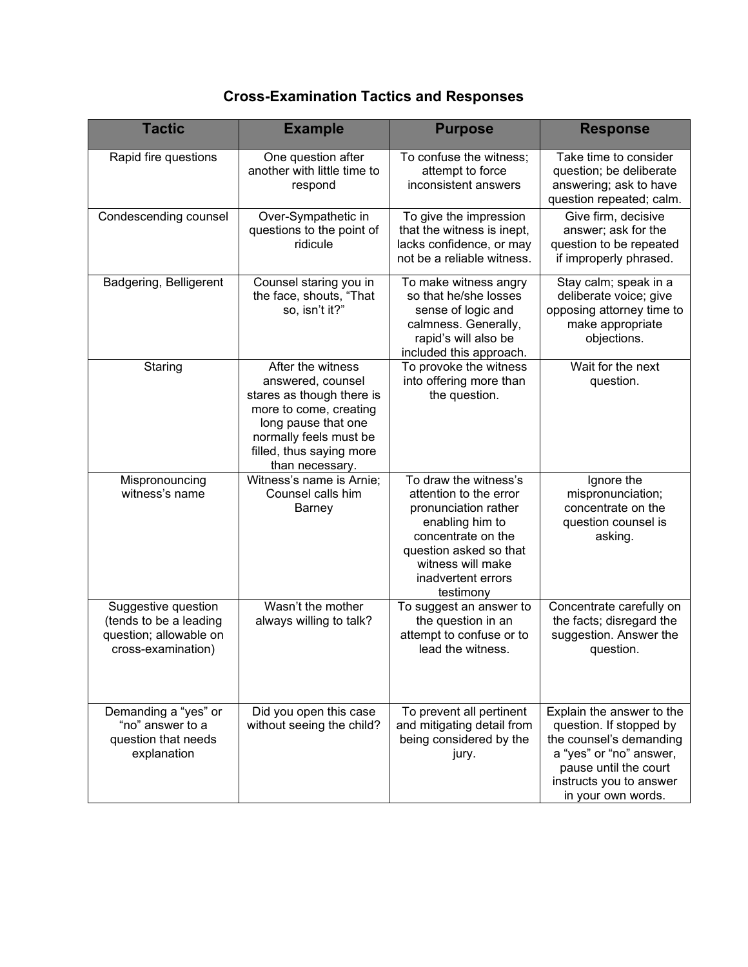## **Cross-Examination Tactics and Responses**

| <b>Tactic</b>                                                                                 | <b>Example</b>                                                                                                                                                                                | <b>Purpose</b>                                                                                                                                                                                     | <b>Response</b>                                                                                                                                                                      |
|-----------------------------------------------------------------------------------------------|-----------------------------------------------------------------------------------------------------------------------------------------------------------------------------------------------|----------------------------------------------------------------------------------------------------------------------------------------------------------------------------------------------------|--------------------------------------------------------------------------------------------------------------------------------------------------------------------------------------|
| Rapid fire questions                                                                          | One question after<br>another with little time to<br>respond                                                                                                                                  | To confuse the witness;<br>attempt to force<br>inconsistent answers                                                                                                                                | Take time to consider<br>question; be deliberate<br>answering; ask to have<br>question repeated; calm.                                                                               |
| Condescending counsel                                                                         | Over-Sympathetic in<br>questions to the point of<br>ridicule                                                                                                                                  | To give the impression<br>that the witness is inept,<br>lacks confidence, or may<br>not be a reliable witness.                                                                                     | Give firm, decisive<br>answer; ask for the<br>question to be repeated<br>if improperly phrased.                                                                                      |
| Badgering, Belligerent                                                                        | Counsel staring you in<br>the face, shouts, "That<br>so, isn't it?"                                                                                                                           | To make witness angry<br>so that he/she losses<br>sense of logic and<br>calmness. Generally,<br>rapid's will also be<br>included this approach.                                                    | Stay calm; speak in a<br>deliberate voice; give<br>opposing attorney time to<br>make appropriate<br>objections.                                                                      |
| Staring                                                                                       | After the witness<br>answered, counsel<br>stares as though there is<br>more to come, creating<br>long pause that one<br>normally feels must be<br>filled, thus saying more<br>than necessary. | To provoke the witness<br>into offering more than<br>the question.                                                                                                                                 | Wait for the next<br>question.                                                                                                                                                       |
| Mispronouncing<br>witness's name                                                              | Witness's name is Arnie;<br>Counsel calls him<br><b>Barney</b>                                                                                                                                | To draw the witness's<br>attention to the error<br>pronunciation rather<br>enabling him to<br>concentrate on the<br>question asked so that<br>witness will make<br>inadvertent errors<br>testimony | Ignore the<br>mispronunciation;<br>concentrate on the<br>question counsel is<br>asking.                                                                                              |
| Suggestive question<br>(tends to be a leading<br>question; allowable on<br>cross-examination) | Wasn't the mother<br>always willing to talk?                                                                                                                                                  | To suggest an answer to<br>the question in an<br>attempt to confuse or to<br>lead the witness.                                                                                                     | Concentrate carefully on<br>the facts; disregard the<br>suggestion. Answer the<br>question.                                                                                          |
| Demanding a "yes" or<br>"no" answer to a<br>question that needs<br>explanation                | Did you open this case<br>without seeing the child?                                                                                                                                           | To prevent all pertinent<br>and mitigating detail from<br>being considered by the<br>jury.                                                                                                         | Explain the answer to the<br>question. If stopped by<br>the counsel's demanding<br>a "yes" or "no" answer,<br>pause until the court<br>instructs you to answer<br>in your own words. |